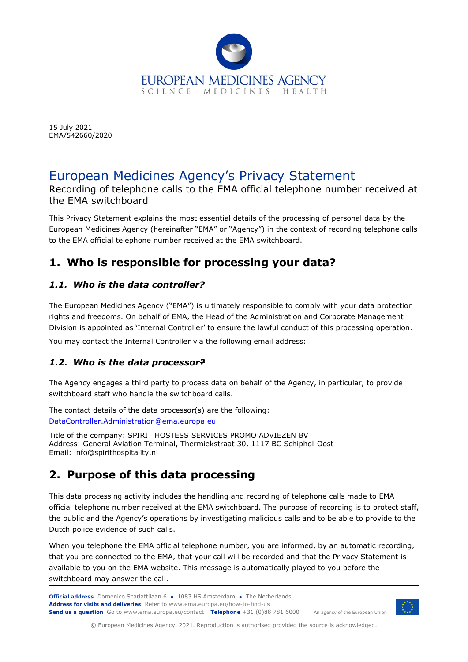

15 July 2021 EMA/542660/2020

# European Medicines Agency's Privacy Statement

Recording of telephone calls to the EMA official telephone number received at the EMA switchboard

This Privacy Statement explains the most essential details of the processing of personal data by the European Medicines Agency (hereinafter "EMA" or "Agency") in the context of recording telephone calls to the EMA official telephone number received at the EMA switchboard.

# **1. Who is responsible for processing your data?**

#### *1.1. Who is the data controller?*

The European Medicines Agency ("EMA") is ultimately responsible to comply with your data protection rights and freedoms. On behalf of EMA, the Head of the Administration and Corporate Management Division is appointed as 'Internal Controller' to ensure the lawful conduct of this processing operation.

You may contact the Internal Controller via the following email address:

#### *1.2. Who is the data processor?*

The Agency engages a third party to process data on behalf of the Agency, in particular, to provide switchboard staff who handle the switchboard calls.

The contact details of the data processor(s) are the following: [DataController.Administration@ema.europa.eu](mailto:DataController.Administration@ema.europa.eu)

Title of the company: SPIRIT HOSTESS SERVICES PROMO ADVIEZEN BV Address: General Aviation Terminal, Thermiekstraat 30, 1117 BC Schiphol-Oost Email: [info@spirithospitality.nl](mailto:info@spirithospitality.nl)

### **2. Purpose of this data processing**

This data processing activity includes the handling and recording of telephone calls made to EMA official telephone number received at the EMA switchboard. The purpose of recording is to protect staff, the public and the Agency's operations by investigating malicious calls and to be able to provide to the Dutch police evidence of such calls.

When you telephone the EMA official telephone number, you are informed, by an automatic recording, that you are connected to the EMA, that your call will be recorded and that the Privacy Statement is available to you on the EMA website. This message is automatically played to you before the switchboard may answer the call.



© European Medicines Agency, 2021. Reproduction is authorised provided the source is acknowledged.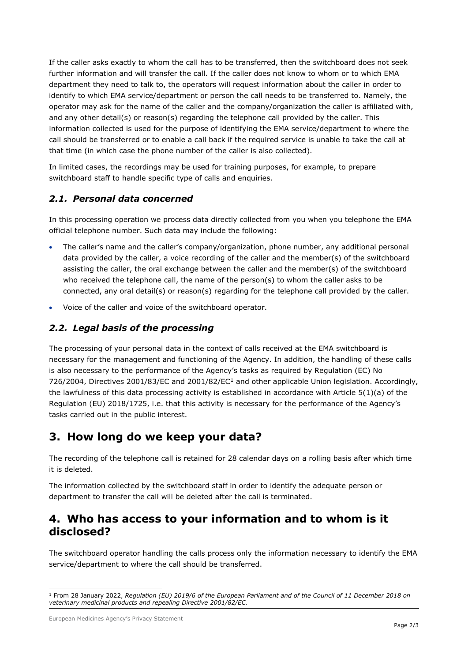If the caller asks exactly to whom the call has to be transferred, then the switchboard does not seek further information and will transfer the call. If the caller does not know to whom or to which EMA department they need to talk to, the operators will request information about the caller in order to identify to which EMA service/department or person the call needs to be transferred to. Namely, the operator may ask for the name of the caller and the company/organization the caller is affiliated with, and any other detail(s) or reason(s) regarding the telephone call provided by the caller. This information collected is used for the purpose of identifying the EMA service/department to where the call should be transferred or to enable a call back if the required service is unable to take the call at that time (in which case the phone number of the caller is also collected).

In limited cases, the recordings may be used for training purposes, for example, to prepare switchboard staff to handle specific type of calls and enquiries.

#### *2.1. Personal data concerned*

In this processing operation we process data directly collected from you when you telephone the EMA official telephone number. Such data may include the following:

- The caller's name and the caller's company/organization, phone number, any additional personal data provided by the caller, a voice recording of the caller and the member(s) of the switchboard assisting the caller, the oral exchange between the caller and the member(s) of the switchboard who received the telephone call, the name of the person(s) to whom the caller asks to be connected, any oral detail(s) or reason(s) regarding for the telephone call provided by the caller.
- Voice of the caller and voice of the switchboard operator.

#### *2.2. Legal basis of the processing*

The processing of your personal data in the context of calls received at the EMA switchboard is necessary for the management and functioning of the Agency. In addition, the handling of these calls is also necessary to the performance of the Agency's tasks as required by Regulation (EC) No 726/2004, Directives 200[1](#page-1-0)/83/EC and 2001/82/EC<sup>1</sup> and other applicable Union legislation. Accordingly, the lawfulness of this data processing activity is established in accordance with Article 5(1)(a) of the Regulation (EU) 2018/1725, i.e. that this activity is necessary for the performance of the Agency's tasks carried out in the public interest.

### **3. How long do we keep your data?**

The recording of the telephone call is retained for 28 calendar days on a rolling basis after which time it is deleted.

The information collected by the switchboard staff in order to identify the adequate person or department to transfer the call will be deleted after the call is terminated.

### **4. Who has access to your information and to whom is it disclosed?**

The switchboard operator handling the calls process only the information necessary to identify the EMA service/department to where the call should be transferred.

<span id="page-1-0"></span><sup>1</sup> From 28 January 2022, *Regulation (EU) 2019/6 of the European Parliament and of the Council of 11 December 2018 on veterinary medicinal products and repealing Directive 2001/82/EC.*